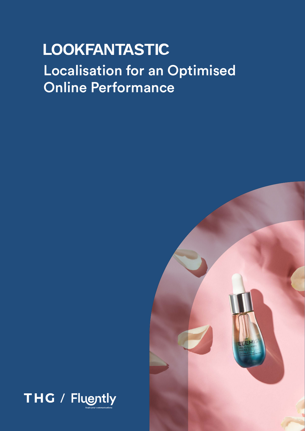# **LOOKFANTASTIC** Localisation for an Optimised Online Performance



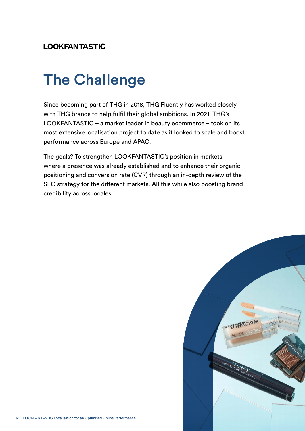#### **LOOKFANTASTIC**

# The Challenge

Since becoming part of THG in 2018, THG Fluently has worked closely with THG brands to help fulfil their global ambitions. In 2021, THG's LOOKFANTASTIC – a market leader in beauty ecommerce – took on its most extensive localisation project to date as it looked to scale and boost performance across Europe and APAC.

The goals? To strengthen LOOKFANTASTIC's position in markets where a presence was already established and to enhance their organic positioning and conversion rate (CVR) through an in-depth review of the SEO strategy for the different markets. All this while also boosting brand credibility across locales.

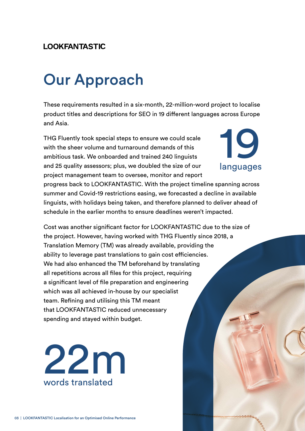#### **LOOKFANTASTIC**

## Our Approach

These requirements resulted in a six-month, 22-million-word project to localise product titles and descriptions for SEO in 19 different languages across Europe and Asia.

THG Fluently took special steps to ensure we could scale with the sheer volume and turnaround demands of this ambitious task. We onboarded and trained 240 linguists and 25 quality assessors; plus, we doubled the size of our project management team to oversee, monitor and report



progress back to LOOKFANTASTIC. With the project timeline spanning across summer and Covid-19 restrictions easing, we forecasted a decline in available linguists, with holidays being taken, and therefore planned to deliver ahead of schedule in the earlier months to ensure deadlines weren't impacted.

Cost was another significant factor for LOOKFANTASTIC due to the size of the project. However, having worked with THG Fluently since 2018, a Translation Memory (TM) was already available, providing the ability to leverage past translations to gain cost efficiencies. We had also enhanced the TM beforehand by translating all repetitions across all files for this project, requiring a significant level of file preparation and engineering which was all achieved in-house by our specialist team. Refining and utilising this TM meant that LOOKFANTASTIC reduced unnecessary spending and stayed within budget.